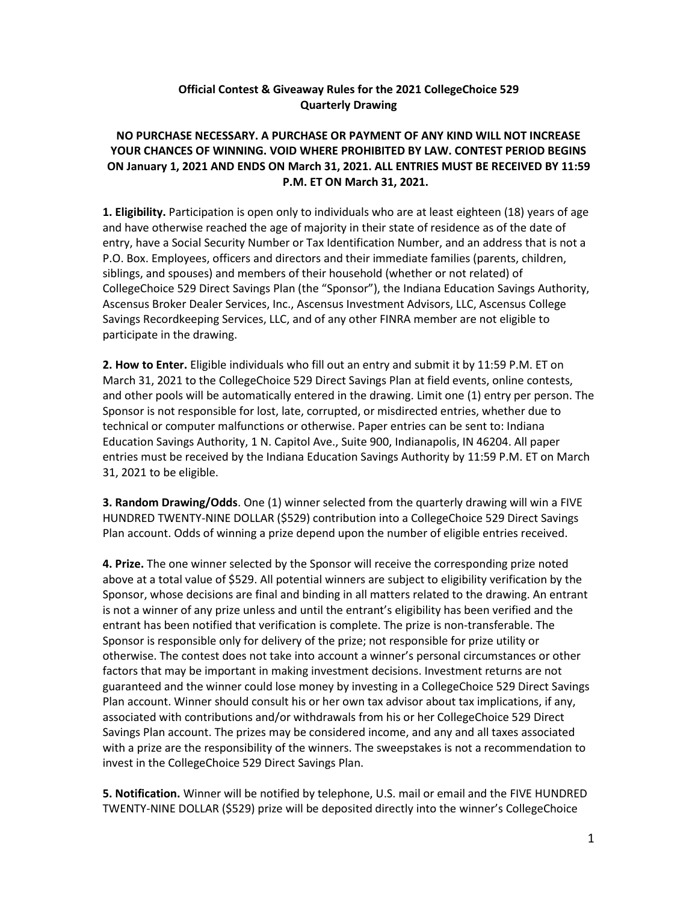## **Official Contest & Giveaway Rules for the 2021 CollegeChoice 529 Quarterly Drawing**

## **NO PURCHASE NECESSARY. A PURCHASE OR PAYMENT OF ANY KIND WILL NOT INCREASE YOUR CHANCES OF WINNING. VOID WHERE PROHIBITED BY LAW. CONTEST PERIOD BEGINS ON January 1, 2021 AND ENDS ON March 31, 2021. ALL ENTRIES MUST BE RECEIVED BY 11:59 P.M. ET ON March 31, 2021.**

**1. Eligibility.** Participation is open only to individuals who are at least eighteen (18) years of age and have otherwise reached the age of majority in their state of residence as of the date of entry, have a Social Security Number or Tax Identification Number, and an address that is not a P.O. Box. Employees, officers and directors and their immediate families (parents, children, siblings, and spouses) and members of their household (whether or not related) of CollegeChoice 529 Direct Savings Plan (the "Sponsor"), the Indiana Education Savings Authority, Ascensus Broker Dealer Services, Inc., Ascensus Investment Advisors, LLC, Ascensus College Savings Recordkeeping Services, LLC, and of any other FINRA member are not eligible to participate in the drawing.

**2. How to Enter.** Eligible individuals who fill out an entry and submit it by 11:59 P.M. ET on March 31, 2021 to the CollegeChoice 529 Direct Savings Plan at field events, online contests, and other pools will be automatically entered in the drawing. Limit one (1) entry per person. The Sponsor is not responsible for lost, late, corrupted, or misdirected entries, whether due to technical or computer malfunctions or otherwise. Paper entries can be sent to: Indiana Education Savings Authority, 1 N. Capitol Ave., Suite 900, Indianapolis, IN 46204. All paper entries must be received by the Indiana Education Savings Authority by 11:59 P.M. ET on March 31, 2021 to be eligible.

**3. Random Drawing/Odds**. One (1) winner selected from the quarterly drawing will win a FIVE HUNDRED TWENTY-NINE DOLLAR (\$529) contribution into a CollegeChoice 529 Direct Savings Plan account. Odds of winning a prize depend upon the number of eligible entries received.

**4. Prize.** The one winner selected by the Sponsor will receive the corresponding prize noted above at a total value of \$529. All potential winners are subject to eligibility verification by the Sponsor, whose decisions are final and binding in all matters related to the drawing. An entrant is not a winner of any prize unless and until the entrant's eligibility has been verified and the entrant has been notified that verification is complete. The prize is non-transferable. The Sponsor is responsible only for delivery of the prize; not responsible for prize utility or otherwise. The contest does not take into account a winner's personal circumstances or other factors that may be important in making investment decisions. Investment returns are not guaranteed and the winner could lose money by investing in a CollegeChoice 529 Direct Savings Plan account. Winner should consult his or her own tax advisor about tax implications, if any, associated with contributions and/or withdrawals from his or her CollegeChoice 529 Direct Savings Plan account. The prizes may be considered income, and any and all taxes associated with a prize are the responsibility of the winners. The sweepstakes is not a recommendation to invest in the CollegeChoice 529 Direct Savings Plan.

**5. Notification.** Winner will be notified by telephone, U.S. mail or email and the FIVE HUNDRED TWENTY-NINE DOLLAR (\$529) prize will be deposited directly into the winner's CollegeChoice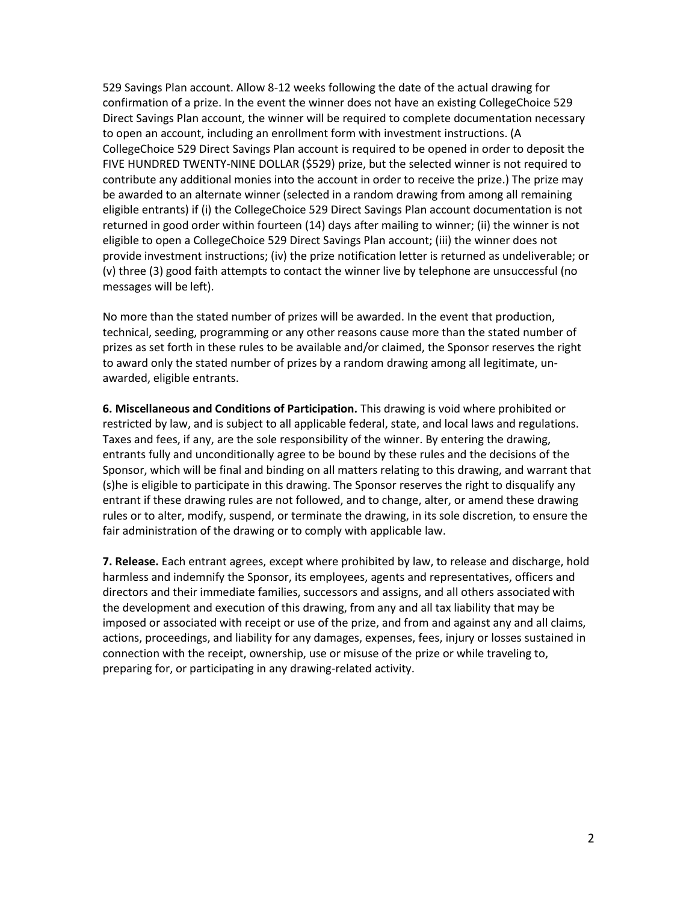529 Savings Plan account. Allow 8-12 weeks following the date of the actual drawing for confirmation of a prize. In the event the winner does not have an existing CollegeChoice 529 Direct Savings Plan account, the winner will be required to complete documentation necessary to open an account, including an enrollment form with investment instructions. (A CollegeChoice 529 Direct Savings Plan account is required to be opened in order to deposit the FIVE HUNDRED TWENTY-NINE DOLLAR (\$529) prize, but the selected winner is not required to contribute any additional monies into the account in order to receive the prize.) The prize may be awarded to an alternate winner (selected in a random drawing from among all remaining eligible entrants) if (i) the CollegeChoice 529 Direct Savings Plan account documentation is not returned in good order within fourteen (14) days after mailing to winner; (ii) the winner is not eligible to open a CollegeChoice 529 Direct Savings Plan account; (iii) the winner does not provide investment instructions; (iv) the prize notification letter is returned as undeliverable; or (v) three (3) good faith attempts to contact the winner live by telephone are unsuccessful (no messages will be left).

No more than the stated number of prizes will be awarded. In the event that production, technical, seeding, programming or any other reasons cause more than the stated number of prizes as set forth in these rules to be available and/or claimed, the Sponsor reserves the right to award only the stated number of prizes by a random drawing among all legitimate, unawarded, eligible entrants.

**6. Miscellaneous and Conditions of Participation.** This drawing is void where prohibited or restricted by law, and is subject to all applicable federal, state, and local laws and regulations. Taxes and fees, if any, are the sole responsibility of the winner. By entering the drawing, entrants fully and unconditionally agree to be bound by these rules and the decisions of the Sponsor, which will be final and binding on all matters relating to this drawing, and warrant that (s)he is eligible to participate in this drawing. The Sponsor reserves the right to disqualify any entrant if these drawing rules are not followed, and to change, alter, or amend these drawing rules or to alter, modify, suspend, or terminate the drawing, in its sole discretion, to ensure the fair administration of the drawing or to comply with applicable law.

**7. Release.** Each entrant agrees, except where prohibited by law, to release and discharge, hold harmless and indemnify the Sponsor, its employees, agents and representatives, officers and directors and their immediate families, successors and assigns, and all others associated with the development and execution of this drawing, from any and all tax liability that may be imposed or associated with receipt or use of the prize, and from and against any and all claims, actions, proceedings, and liability for any damages, expenses, fees, injury or losses sustained in connection with the receipt, ownership, use or misuse of the prize or while traveling to, preparing for, or participating in any drawing-related activity.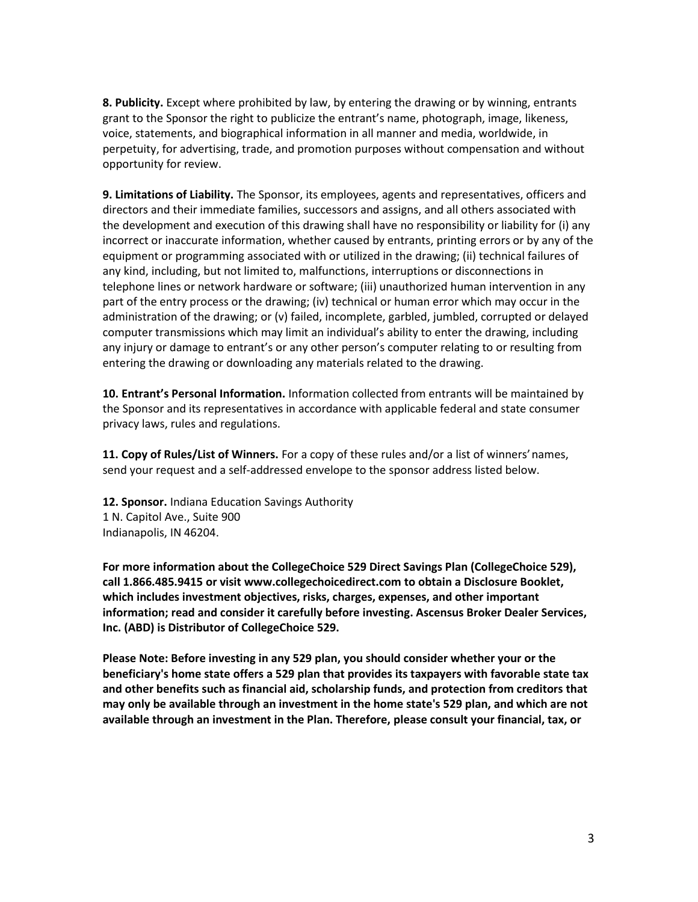**8. Publicity.** Except where prohibited by law, by entering the drawing or by winning, entrants grant to the Sponsor the right to publicize the entrant's name, photograph, image, likeness, voice, statements, and biographical information in all manner and media, worldwide, in perpetuity, for advertising, trade, and promotion purposes without compensation and without opportunity for review.

**9. Limitations of Liability.** The Sponsor, its employees, agents and representatives, officers and directors and their immediate families, successors and assigns, and all others associated with the development and execution of this drawing shall have no responsibility or liability for (i) any incorrect or inaccurate information, whether caused by entrants, printing errors or by any of the equipment or programming associated with or utilized in the drawing; (ii) technical failures of any kind, including, but not limited to, malfunctions, interruptions or disconnections in telephone lines or network hardware or software; (iii) unauthorized human intervention in any part of the entry process or the drawing; (iv) technical or human error which may occur in the administration of the drawing; or (v) failed, incomplete, garbled, jumbled, corrupted or delayed computer transmissions which may limit an individual's ability to enter the drawing, including any injury or damage to entrant's or any other person's computer relating to or resulting from entering the drawing or downloading any materials related to the drawing.

**10. Entrant's Personal Information.** Information collected from entrants will be maintained by the Sponsor and its representatives in accordance with applicable federal and state consumer privacy laws, rules and regulations.

**11. Copy of Rules/List of Winners.** For a copy of these rules and/or a list of winners'names, send your request and a self-addressed envelope to the sponsor address listed below.

**12. Sponsor.** Indiana Education Savings Authority 1 N. Capitol Ave., Suite 900 Indianapolis, IN 46204.

**For more information about the CollegeChoice 529 Direct Savings Plan (CollegeChoice 529), call 1.866.485.9415 or visit [www.collegechoicedirect.com t](http://www.collegechoicedirect.com/)o obtain a Disclosure Booklet, which includes investment objectives, risks, charges, expenses, and other important information; read and consider it carefully before investing. Ascensus Broker Dealer Services, Inc. (ABD) is Distributor of CollegeChoice 529.**

**Please Note: Before investing in any 529 plan, you should consider whether your or the beneficiary's home state offers a 529 plan that provides its taxpayers with favorable state tax and other benefits such as financial aid, scholarship funds, and protection from creditors that may only be available through an investment in the home state's 529 plan, and which are not available through an investment in the Plan. Therefore, please consult your financial, tax, or**